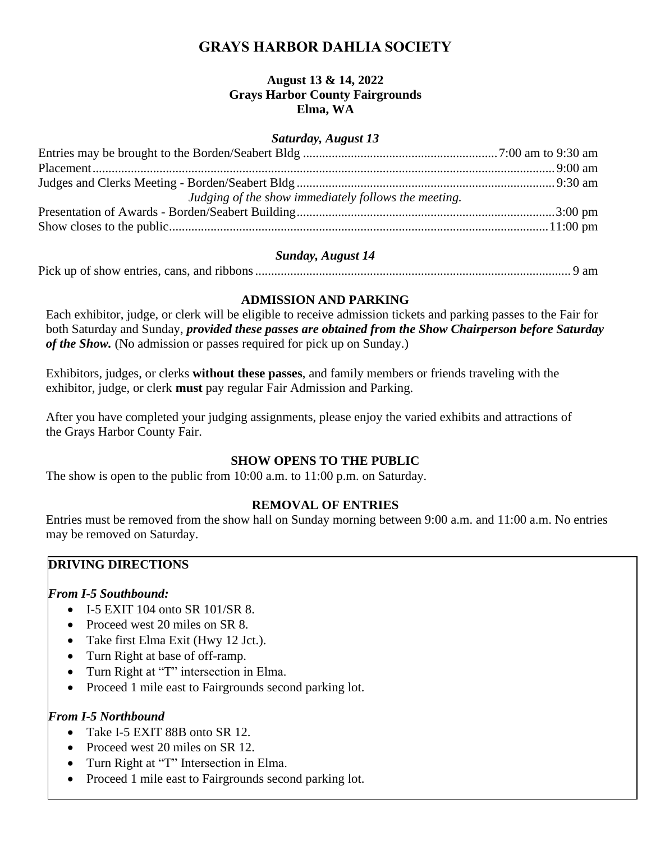# **GRAYS HARBOR DAHLIA SOCIETY**

### **August 13 & 14, 2022 Grays Harbor County Fairgrounds Elma, WA**

#### *Saturday, August 13*

| Judging of the show immediately follows the meeting. |  |
|------------------------------------------------------|--|
|                                                      |  |
|                                                      |  |

#### *Sunday, August 14*

|--|--|--|

### **ADMISSION AND PARKING**

Each exhibitor, judge, or clerk will be eligible to receive admission tickets and parking passes to the Fair for both Saturday and Sunday, *provided these passes are obtained from the Show Chairperson before Saturday of the Show.* (No admission or passes required for pick up on Sunday.)

Exhibitors, judges, or clerks **without these passes**, and family members or friends traveling with the exhibitor, judge, or clerk **must** pay regular Fair Admission and Parking.

After you have completed your judging assignments, please enjoy the varied exhibits and attractions of the Grays Harbor County Fair.

## **SHOW OPENS TO THE PUBLIC**

The show is open to the public from 10:00 a.m. to 11:00 p.m. on Saturday.

## **REMOVAL OF ENTRIES**

Entries must be removed from the show hall on Sunday morning between 9:00 a.m. and 11:00 a.m. No entries may be removed on Saturday.

## **DRIVING DIRECTIONS**

#### *From I-5 Southbound:*

- I-5 EXIT 104 onto SR 101/SR 8.
- Proceed west 20 miles on SR 8.
- Take first Elma Exit (Hwy 12 Jct.).
- Turn Right at base of off-ramp.
- Turn Right at "T" intersection in Elma.
- Proceed 1 mile east to Fairgrounds second parking lot.

#### *From I-5 Northbound*

- Take I-5 EXIT 88B onto SR 12.
- Proceed west 20 miles on SR 12.
- Turn Right at "T" Intersection in Elma.
- Proceed 1 mile east to Fairgrounds second parking lot.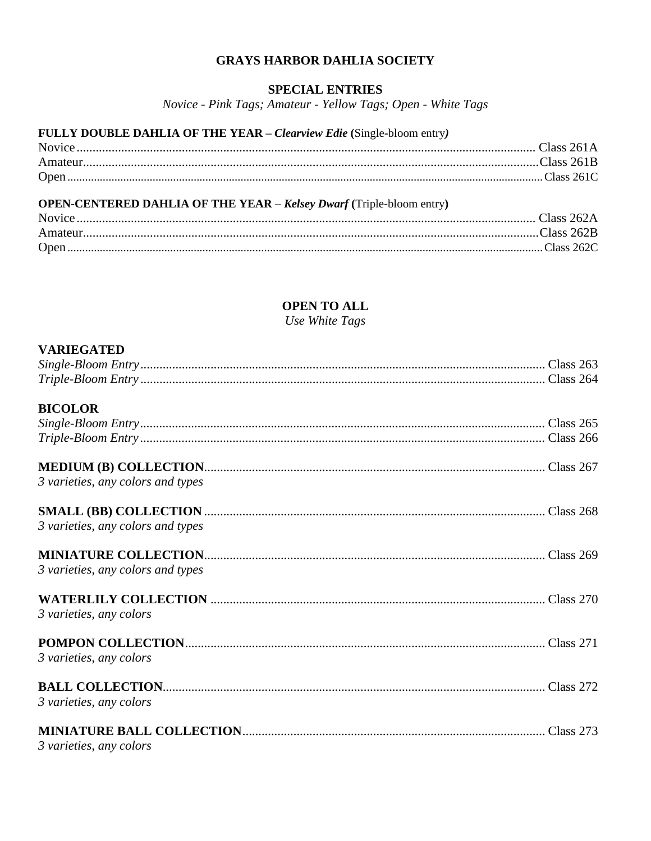### **GRAYS HARBOR DAHLIA SOCIETY**

### **SPECIAL ENTRIES**

Novice - Pink Tags; Amateur - Yellow Tags; Open - White Tags

## FULLY DOUBLE DAHLIA OF THE YEAR - Clearview Edie (Single-bloom entry)

## **OPEN-CENTERED DAHLIA OF THE YEAR - Kelsey Dwarf (Triple-bloom entry)**

| Open. |  |
|-------|--|

## **OPEN TO ALL**

Use White Tags

#### **VARIEGATED**

| 3 varieties, any colors |                                   |  |
|-------------------------|-----------------------------------|--|
|                         |                                   |  |
|                         | <b>BICOLOR</b>                    |  |
|                         |                                   |  |
|                         |                                   |  |
|                         |                                   |  |
|                         | 3 varieties, any colors and types |  |
|                         |                                   |  |
|                         | 3 varieties, any colors and types |  |
|                         |                                   |  |
|                         | 3 varieties, any colors and types |  |
|                         |                                   |  |
|                         | 3 varieties, any colors           |  |
|                         |                                   |  |
|                         | 3 varieties, any colors           |  |
|                         |                                   |  |
|                         | 3 varieties, any colors           |  |
|                         |                                   |  |
|                         |                                   |  |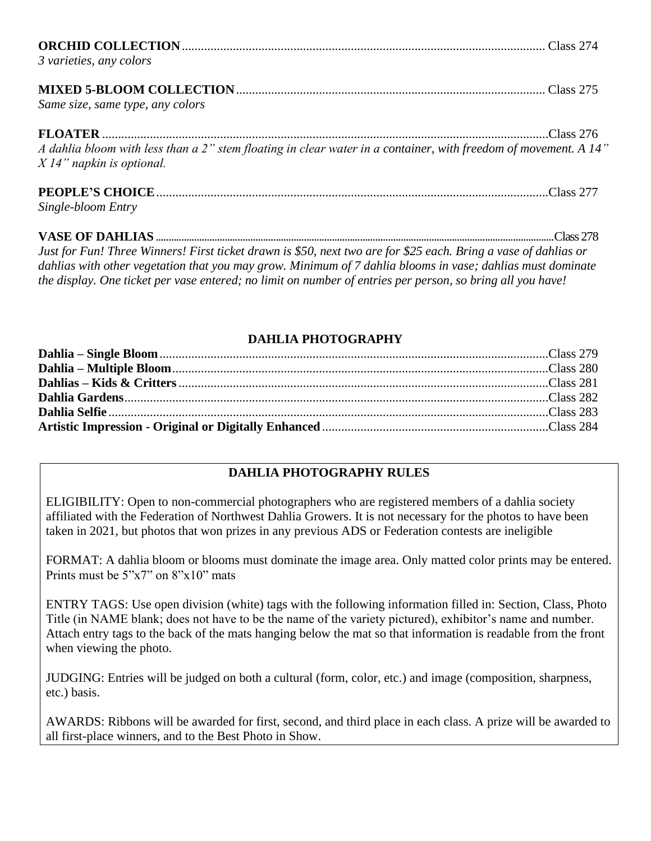| 3 varieties, any colors                                                                                                                                                                                                                                                                                                            |  |
|------------------------------------------------------------------------------------------------------------------------------------------------------------------------------------------------------------------------------------------------------------------------------------------------------------------------------------|--|
| Same size, same type, any colors                                                                                                                                                                                                                                                                                                   |  |
| A dahlia bloom with less than a 2" stem floating in clear water in a container, with freedom of movement. A 14"<br>$X14"$ napkin is optional.                                                                                                                                                                                      |  |
| Single-bloom Entry                                                                                                                                                                                                                                                                                                                 |  |
| $\mathbf{r}$ $\mathbf{r}$ $\mathbf{r}$ $\mathbf{r}$ $\mathbf{r}$ $\mathbf{r}$ $\mathbf{r}$ $\mathbf{r}$ $\mathbf{r}$ $\mathbf{r}$ $\mathbf{r}$ $\mathbf{r}$ $\mathbf{r}$ $\mathbf{r}$ $\mathbf{r}$ $\mathbf{r}$ $\mathbf{r}$ $\mathbf{r}$ $\mathbf{r}$ $\mathbf{r}$ $\mathbf{r}$ $\mathbf{r}$ $\mathbf{r}$ $\mathbf{r}$ $\mathbf{$ |  |

*Just for Fun! Three Winners! First ticket drawn is \$50, next two are for \$25 each. Bring a vase of dahlias or dahlias with other vegetation that you may grow. Minimum of 7 dahlia blooms in vase; dahlias must dominate the display. One ticket per vase entered; no limit on number of entries per person, so bring all you have!*

# **DAHLIA PHOTOGRAPHY**

# **DAHLIA PHOTOGRAPHY RULES**

ELIGIBILITY: Open to non-commercial photographers who are registered members of a dahlia society affiliated with the Federation of Northwest Dahlia Growers. It is not necessary for the photos to have been taken in 2021, but photos that won prizes in any previous ADS or Federation contests are ineligible

FORMAT: A dahlia bloom or blooms must dominate the image area. Only matted color prints may be entered. Prints must be  $5"x7"$  on  $8"x10"$  mats

ENTRY TAGS: Use open division (white) tags with the following information filled in: Section, Class, Photo Title (in NAME blank; does not have to be the name of the variety pictured), exhibitor's name and number. Attach entry tags to the back of the mats hanging below the mat so that information is readable from the front when viewing the photo.

JUDGING: Entries will be judged on both a cultural (form, color, etc.) and image (composition, sharpness, etc.) basis.

AWARDS: Ribbons will be awarded for first, second, and third place in each class. A prize will be awarded to all first-place winners, and to the Best Photo in Show.